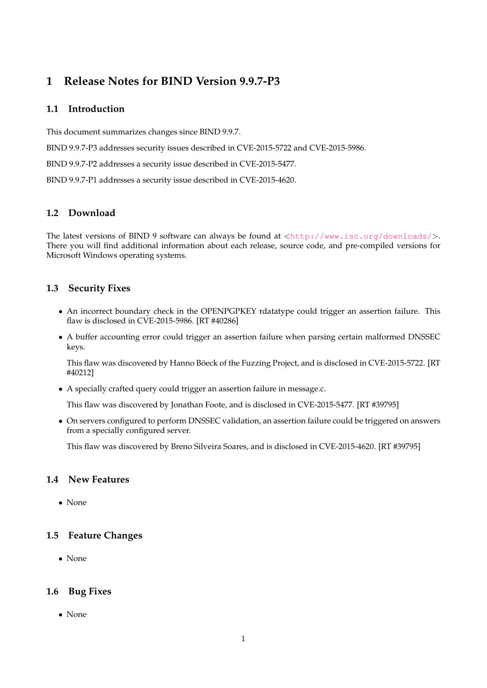# **1 Release Notes for BIND Version 9.9.7-P3**

## **1.1 Introduction**

This document summarizes changes since BIND 9.9.7.

BIND 9.9.7-P3 addresses security issues described in CVE-2015-5722 and CVE-2015-5986.

BIND 9.9.7-P2 addresses a security issue described in CVE-2015-5477.

BIND 9.9.7-P1 addresses a security issue described in CVE-2015-4620.

## **1.2 Download**

The latest versions of BIND 9 software can always be found at  $\langle \text{http://www.isc.org/downloads/}>$  $\langle \text{http://www.isc.org/downloads/}>$  $\langle \text{http://www.isc.org/downloads/}>$ . There you will find additional information about each release, source code, and pre-compiled versions for Microsoft Windows operating systems.

## **1.3 Security Fixes**

- An incorrect boundary check in the OPENPGPKEY rdatatype could trigger an assertion failure. This flaw is disclosed in CVE-2015-5986. [RT #40286]
- A buffer accounting error could trigger an assertion failure when parsing certain malformed DNSSEC keys.

This flaw was discovered by Hanno Böeck of the Fuzzing Project, and is disclosed in CVE-2015-5722. [RT #40212]

• A specially crafted query could trigger an assertion failure in message.c.

This flaw was discovered by Jonathan Foote, and is disclosed in CVE-2015-5477. [RT #39795]

• On servers configured to perform DNSSEC validation, an assertion failure could be triggered on answers from a specially configured server.

This flaw was discovered by Breno Silveira Soares, and is disclosed in CVE-2015-4620. [RT #39795]

#### **1.4 New Features**

• None

#### **1.5 Feature Changes**

• None

#### **1.6 Bug Fixes**

• None